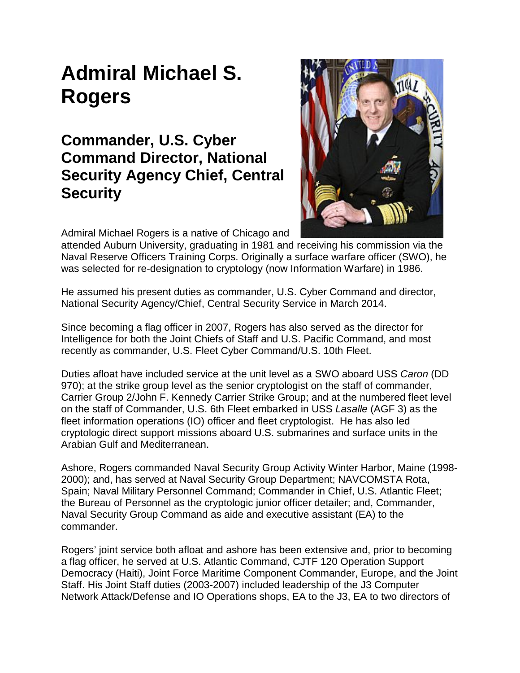## **Admiral Michael S. Rogers**

## **Commander, U.S. Cyber Command Director, National Security Agency Chief, Central Security**



Admiral Michael Rogers is a native of Chicago and

attended Auburn University, graduating in 1981 and receiving his commission via the Naval Reserve Officers Training Corps. Originally a surface warfare officer (SWO), he was selected for re-designation to cryptology (now Information Warfare) in 1986.

He assumed his present duties as commander, U.S. Cyber Command and director, National Security Agency/Chief, Central Security Service in March 2014.

Since becoming a flag officer in 2007, Rogers has also served as the director for Intelligence for both the Joint Chiefs of Staff and U.S. Pacific Command, and most recently as commander, U.S. Fleet Cyber Command/U.S. 10th Fleet.

Duties afloat have included service at the unit level as a SWO aboard USS *Caron* (DD 970); at the strike group level as the senior cryptologist on the staff of commander, Carrier Group 2/John F. Kennedy Carrier Strike Group; and at the numbered fleet level on the staff of Commander, U.S. 6th Fleet embarked in USS *Lasalle* (AGF 3) as the fleet information operations (IO) officer and fleet cryptologist. He has also led cryptologic direct support missions aboard U.S. submarines and surface units in the Arabian Gulf and Mediterranean.

Ashore, Rogers commanded Naval Security Group Activity Winter Harbor, Maine (1998- 2000); and, has served at Naval Security Group Department; NAVCOMSTA Rota, Spain; Naval Military Personnel Command; Commander in Chief, U.S. Atlantic Fleet; the Bureau of Personnel as the cryptologic junior officer detailer; and, Commander, Naval Security Group Command as aide and executive assistant (EA) to the commander.

Rogers' joint service both afloat and ashore has been extensive and, prior to becoming a flag officer, he served at U.S. Atlantic Command, CJTF 120 Operation Support Democracy (Haiti), Joint Force Maritime Component Commander, Europe, and the Joint Staff. His Joint Staff duties (2003-2007) included leadership of the J3 Computer Network Attack/Defense and IO Operations shops, EA to the J3, EA to two directors of